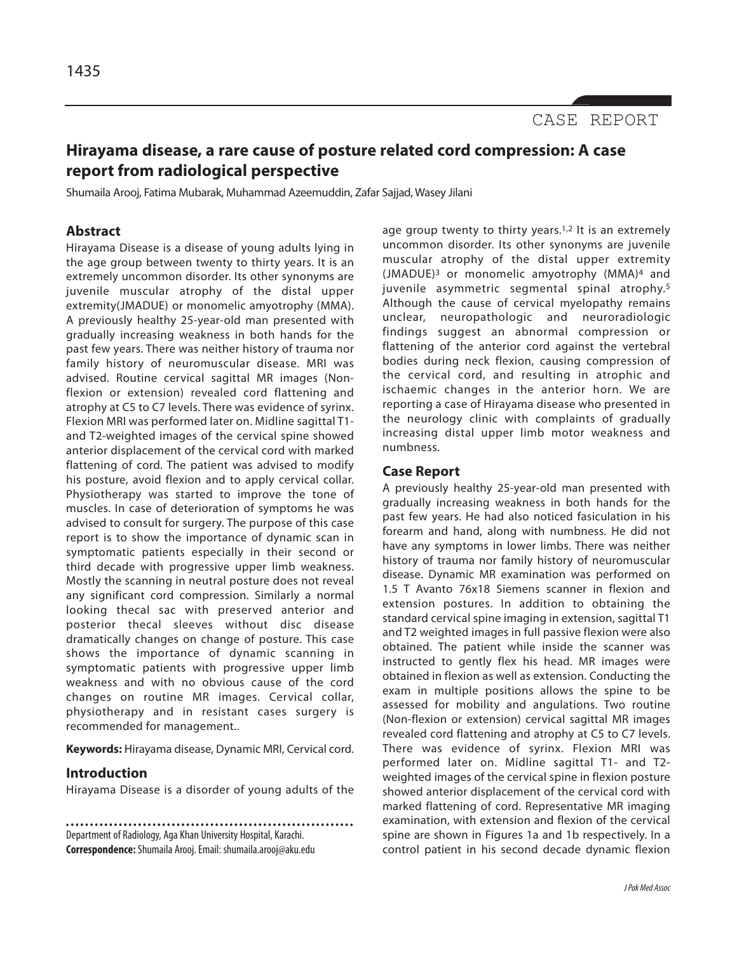# **Hirayama disease, a rare cause of posture related cord compression: A case report from radiological perspective**

Shumaila Arooj, Fatima Mubarak, Muhammad Azeemuddin, Zafar Sajjad, Wasey Jilani

## **Abstract**

Hirayama Disease is a disease of young adults lying in the age group between twenty to thirty years. It is an extremely uncommon disorder. Its other synonyms are juvenile muscular atrophy of the distal upper extremity(JMADUE) or monomelic amyotrophy (MMA). A previously healthy 25-year-old man presented with gradually increasing weakness in both hands for the past few years. There was neither history of trauma nor family history of neuromuscular disease. MRI was advised. Routine cervical sagittal MR images (Nonflexion or extension) revealed cord flattening and atrophy at C5 to C7 levels. There was evidence of syrinx. Flexion MRI was performed later on. Midline sagittal T1 and T2-weighted images of the cervical spine showed anterior displacement of the cervical cord with marked flattening of cord. The patient was advised to modify his posture, avoid flexion and to apply cervical collar. Physiotherapy was started to improve the tone of muscles. In case of deterioration of symptoms he was advised to consult for surgery. The purpose of this case report is to show the importance of dynamic scan in symptomatic patients especially in their second or third decade with progressive upper limb weakness. Mostly the scanning in neutral posture does not reveal any significant cord compression. Similarly a normal looking thecal sac with preserved anterior and posterior thecal sleeves without disc disease dramatically changes on change of posture. This case shows the importance of dynamic scanning in symptomatic patients with progressive upper limb weakness and with no obvious cause of the cord changes on routine MR images. Cervical collar, physiotherapy and in resistant cases surgery is recommended for management..

**Keywords:** Hirayama disease, Dynamic MRI, Cervical cord.

### **Introduction**

Hirayama Disease is a disorder of young adults of the

Department of Radiology, Aga Khan University Hospital, Karachi. **Correspondence:**Shumaila Arooj. Email: shumaila.arooj@aku.edu

age group twenty to thirty years.<sup>1,2</sup> It is an extremely uncommon disorder. Its other synonyms are juvenile muscular atrophy of the distal upper extremity (JMADUE)<sup>3</sup> or monomelic amyotrophy (MMA)<sup>4</sup> and juvenile asymmetric segmental spinal atrophy.<sup>5</sup> Although the cause of cervical myelopathy remains unclear, neuropathologic and neuroradiologic findings suggest an abnormal compression or flattening of the anterior cord against the vertebral bodies during neck flexion, causing compression of the cervical cord, and resulting in atrophic and ischaemic changes in the anterior horn. We are reporting a case of Hirayama disease who presented in the neurology clinic with complaints of gradually increasing distal upper limb motor weakness and numbness.

#### **Case Report**

A previously healthy 25-year-old man presented with gradually increasing weakness in both hands for the past few years. He had also noticed fasiculation in his forearm and hand, along with numbness. He did not have any symptoms in lower limbs. There was neither history of trauma nor family history of neuromuscular disease. Dynamic MR examination was performed on 1.5 T Avanto 76x18 Siemens scanner in flexion and extension postures. In addition to obtaining the standard cervical spine imaging in extension, sagittal T1 and T2 weighted images in full passive flexion were also obtained. The patient while inside the scanner was instructed to gently flex his head. MR images were obtained in flexion as well as extension. Conducting the exam in multiple positions allows the spine to be assessed for mobility and angulations. Two routine (Non-flexion or extension) cervical sagittal MR images revealed cord flattening and atrophy at C5 to C7 levels. There was evidence of syrinx. Flexion MRI was performed later on. Midline sagittal T1- and T2 weighted images of the cervical spine in flexion posture showed anterior displacement of the cervical cord with marked flattening of cord. Representative MR imaging examination, with extension and flexion of the cervical spine are shown in Figures 1a and 1b respectively. In a control patient in his second decade dynamic flexion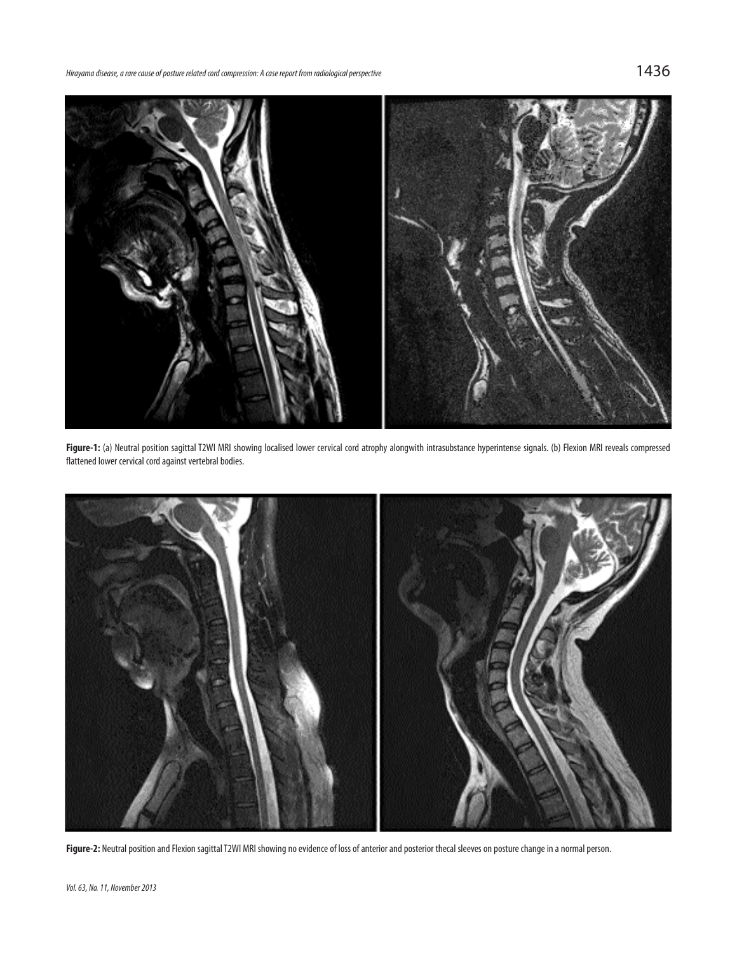

Figure-1: (a) Neutral position sagittal T2WI MRI showing localised lower cervical cord atrophy alongwith intrasubstance hyperintense signals. (b) Flexion MRI reveals compressed flattened lower cervical cord against vertebral bodies.



Figure-2: Neutral position and Flexion sagittal T2WI MRI showing no evidence of loss of anterior and posterior thecal sleeves on posture change in a normal person.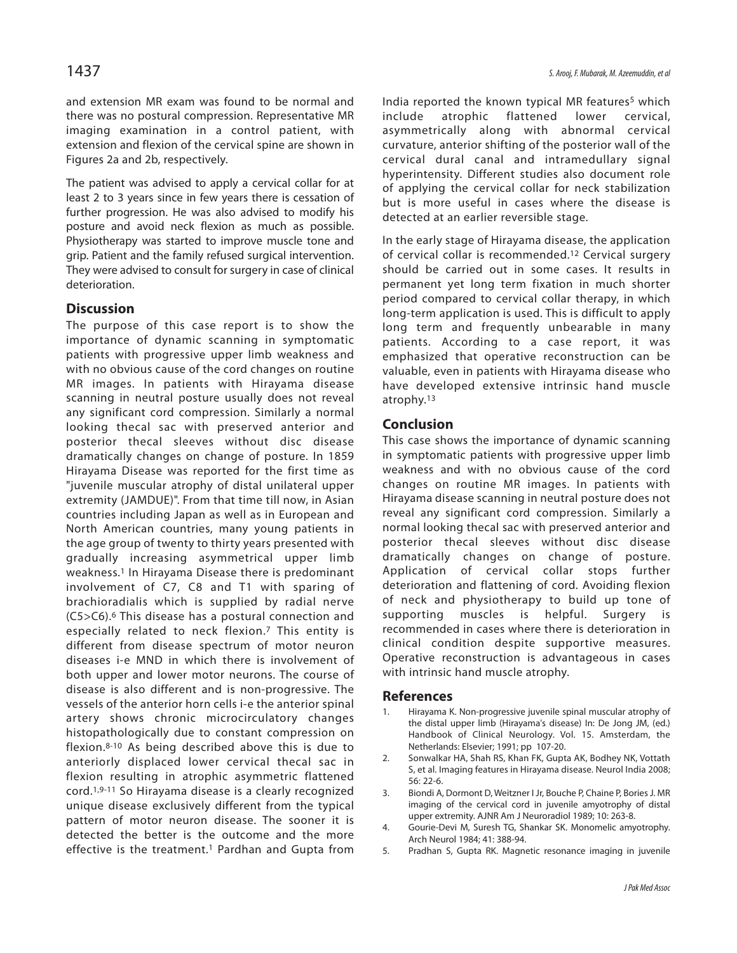and extension MR exam was found to be normal and there was no postural compression. Representative MR imaging examination in a control patient, with extension and flexion of the cervical spine are shown in Figures 2a and 2b, respectively.

The patient was advised to apply a cervical collar for at least 2 to 3 years since in few years there is cessation of further progression. He was also advised to modify his posture and avoid neck flexion as much as possible. Physiotherapy was started to improve muscle tone and grip. Patient and the family refused surgical intervention. They were advised to consult for surgery in case of clinical deterioration.

## **Discussion**

The purpose of this case report is to show the importance of dynamic scanning in symptomatic patients with progressive upper limb weakness and with no obvious cause of the cord changes on routine MR images. In patients with Hirayama disease scanning in neutral posture usually does not reveal any significant cord compression. Similarly a normal looking thecal sac with preserved anterior and posterior thecal sleeves without disc disease dramatically changes on change of posture. In 1859 Hirayama Disease was reported for the first time as "juvenile muscular atrophy of distal unilateral upper extremity (JAMDUE)". From that time till now, in Asian countries including Japan as well as in European and North American countries, many young patients in the age group of twenty to thirty years presented with gradually increasing asymmetrical upper limb weakness.<sup>1</sup> In Hirayama Disease there is predominant involvement of C7, C8 and T1 with sparing of brachioradialis which is supplied by radial nerve (C5>C6).<sup>6</sup> This disease has a postural connection and especially related to neck flexion.<sup>7</sup> This entity is different from disease spectrum of motor neuron diseases i-e MND in which there is involvement of both upper and lower motor neurons. The course of disease is also different and is non-progressive. The vessels of the anterior horn cells i-e the anterior spinal artery shows chronic microcirculatory changes histopathologically due to constant compression on flexion.8-10 As being described above this is due to anteriorly displaced lower cervical thecal sac in flexion resulting in atrophic asymmetric flattened cord.1,9-11 So Hirayama disease is a clearly recognized unique disease exclusively different from the typical pattern of motor neuron disease. The sooner it is detected the better is the outcome and the more effective is the treatment.<sup>1</sup> Pardhan and Gupta from

India reported the known typical MR features<sup>5</sup> which include atrophic flattened lower cervical, asymmetrically along with abnormal cervical curvature, anterior shifting of the posterior wall of the cervical dural canal and intramedullary signal hyperintensity. Different studies also document role of applying the cervical collar for neck stabilization but is more useful in cases where the disease is detected at an earlier reversible stage.

In the early stage of Hirayama disease, the application of cervical collar is recommended.<sup>12</sup> Cervical surgery should be carried out in some cases. It results in permanent yet long term fixation in much shorter period compared to cervical collar therapy, in which long-term application is used. This is difficult to apply long term and frequently unbearable in many patients. According to a case report, it was emphasized that operative reconstruction can be valuable, even in patients with Hirayama disease who have developed extensive intrinsic hand muscle atrophy.<sup>13</sup>

### **Conclusion**

This case shows the importance of dynamic scanning in symptomatic patients with progressive upper limb weakness and with no obvious cause of the cord changes on routine MR images. In patients with Hirayama disease scanning in neutral posture does not reveal any significant cord compression. Similarly a normal looking thecal sac with preserved anterior and posterior thecal sleeves without disc disease dramatically changes on change of posture. Application of cervical collar stops further deterioration and flattening of cord. Avoiding flexion of neck and physiotherapy to build up tone of supporting muscles is helpful. Surgery is recommended in cases where there is deterioration in clinical condition despite supportive measures. Operative reconstruction is advantageous in cases with intrinsic hand muscle atrophy.

#### **References**

- Hirayama K. Non-progressive juvenile spinal muscular atrophy of the distal upper limb (Hirayama's disease) In: De Jong JM, (ed.) Handbook of Clinical Neurology. Vol. 15. Amsterdam, the Netherlands: Elsevier; 1991; pp 107-20.
- 2. Sonwalkar HA, Shah RS, Khan FK, Gupta AK, Bodhey NK, Vottath S, et al. Imaging features in Hirayama disease. Neurol India 2008; 56: 22-6.
- 3. Biondi A, Dormont D, Weitzner I Jr, Bouche P, Chaine P, Bories J. MR imaging of the cervical cord in juvenile amyotrophy of distal upper extremity. AJNR Am J Neuroradiol 1989; 10: 263-8.
- 4. Gourie-Devi M, Suresh TG, Shankar SK. Monomelic amyotrophy. Arch Neurol 1984; 41: 388-94.
- 5. Pradhan S, Gupta RK. Magnetic resonance imaging in juvenile